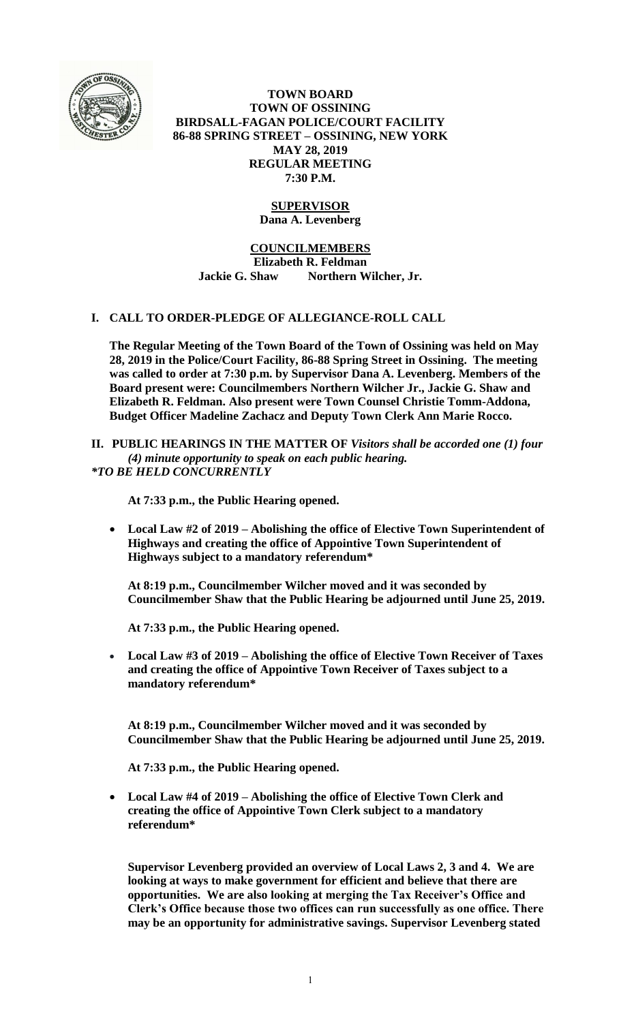

**TOWN BOARD TOWN OF OSSINING BIRDSALL-FAGAN POLICE/COURT FACILITY 86-88 SPRING STREET – OSSINING, NEW YORK MAY 28, 2019 REGULAR MEETING 7:30 P.M.**

# **SUPERVISOR**

**Dana A. Levenberg**

### **COUNCILMEMBERS**

**Elizabeth R. Feldman Jackie G. Shaw Northern Wilcher, Jr.**

# **I. CALL TO ORDER-PLEDGE OF ALLEGIANCE-ROLL CALL**

**The Regular Meeting of the Town Board of the Town of Ossining was held on May 28, 2019 in the Police/Court Facility, 86-88 Spring Street in Ossining. The meeting was called to order at 7:30 p.m. by Supervisor Dana A. Levenberg. Members of the Board present were: Councilmembers Northern Wilcher Jr., Jackie G. Shaw and Elizabeth R. Feldman. Also present were Town Counsel Christie Tomm-Addona, Budget Officer Madeline Zachacz and Deputy Town Clerk Ann Marie Rocco.**

**II. PUBLIC HEARINGS IN THE MATTER OF** *Visitors shall be accorded one (1) four (4) minute opportunity to speak on each public hearing. \*TO BE HELD CONCURRENTLY*

**At 7:33 p.m., the Public Hearing opened.** 

 **Local Law #2 of 2019 – Abolishing the office of Elective Town Superintendent of Highways and creating the office of Appointive Town Superintendent of Highways subject to a mandatory referendum\***

**At 8:19 p.m., Councilmember Wilcher moved and it was seconded by Councilmember Shaw that the Public Hearing be adjourned until June 25, 2019.** 

**At 7:33 p.m., the Public Hearing opened.** 

 **Local Law #3 of 2019 – Abolishing the office of Elective Town Receiver of Taxes and creating the office of Appointive Town Receiver of Taxes subject to a mandatory referendum\***

**At 8:19 p.m., Councilmember Wilcher moved and it was seconded by Councilmember Shaw that the Public Hearing be adjourned until June 25, 2019.** 

**At 7:33 p.m., the Public Hearing opened.** 

 **Local Law #4 of 2019 – Abolishing the office of Elective Town Clerk and creating the office of Appointive Town Clerk subject to a mandatory referendum\***

**Supervisor Levenberg provided an overview of Local Laws 2, 3 and 4. We are looking at ways to make government for efficient and believe that there are opportunities. We are also looking at merging the Tax Receiver's Office and Clerk's Office because those two offices can run successfully as one office. There may be an opportunity for administrative savings. Supervisor Levenberg stated**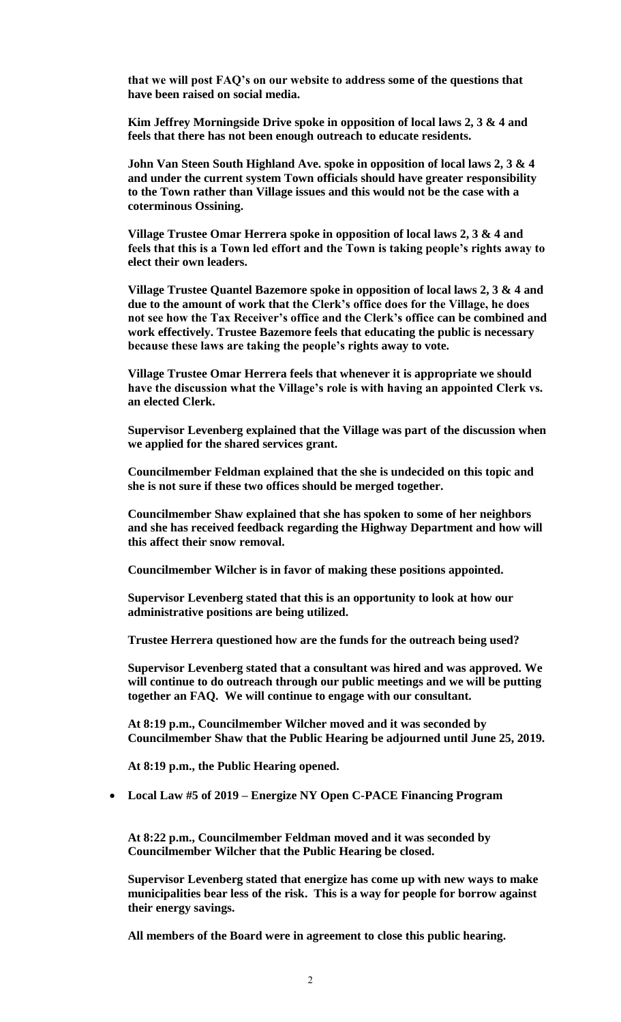**that we will post FAQ's on our website to address some of the questions that have been raised on social media.**

**Kim Jeffrey Morningside Drive spoke in opposition of local laws 2, 3 & 4 and feels that there has not been enough outreach to educate residents.** 

**John Van Steen South Highland Ave. spoke in opposition of local laws 2, 3 & 4 and under the current system Town officials should have greater responsibility to the Town rather than Village issues and this would not be the case with a coterminous Ossining.**

**Village Trustee Omar Herrera spoke in opposition of local laws 2, 3 & 4 and feels that this is a Town led effort and the Town is taking people's rights away to elect their own leaders.** 

**Village Trustee Quantel Bazemore spoke in opposition of local laws 2, 3 & 4 and due to the amount of work that the Clerk's office does for the Village, he does not see how the Tax Receiver's office and the Clerk's office can be combined and work effectively. Trustee Bazemore feels that educating the public is necessary because these laws are taking the people's rights away to vote.** 

**Village Trustee Omar Herrera feels that whenever it is appropriate we should have the discussion what the Village's role is with having an appointed Clerk vs. an elected Clerk.** 

**Supervisor Levenberg explained that the Village was part of the discussion when we applied for the shared services grant.** 

**Councilmember Feldman explained that the she is undecided on this topic and she is not sure if these two offices should be merged together.** 

**Councilmember Shaw explained that she has spoken to some of her neighbors and she has received feedback regarding the Highway Department and how will this affect their snow removal.** 

**Councilmember Wilcher is in favor of making these positions appointed.**

**Supervisor Levenberg stated that this is an opportunity to look at how our administrative positions are being utilized.**

**Trustee Herrera questioned how are the funds for the outreach being used?**

**Supervisor Levenberg stated that a consultant was hired and was approved. We will continue to do outreach through our public meetings and we will be putting together an FAQ. We will continue to engage with our consultant.** 

**At 8:19 p.m., Councilmember Wilcher moved and it was seconded by Councilmember Shaw that the Public Hearing be adjourned until June 25, 2019.** 

**At 8:19 p.m., the Public Hearing opened.** 

**Local Law #5 of 2019 – Energize NY Open C-PACE Financing Program**

**At 8:22 p.m., Councilmember Feldman moved and it was seconded by Councilmember Wilcher that the Public Hearing be closed.**

**Supervisor Levenberg stated that energize has come up with new ways to make municipalities bear less of the risk. This is a way for people for borrow against their energy savings.** 

**All members of the Board were in agreement to close this public hearing.**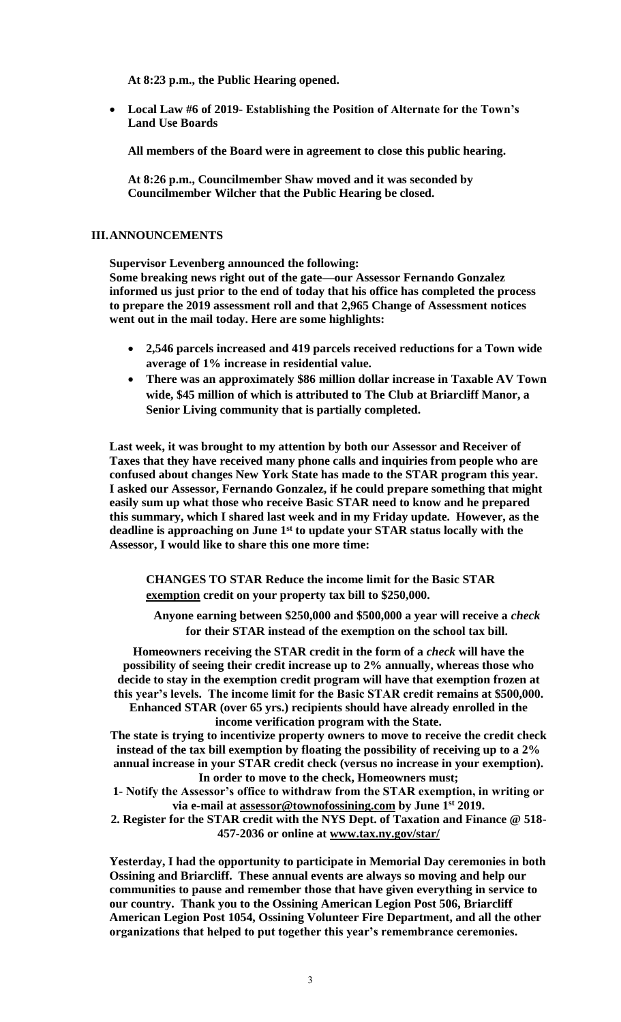**At 8:23 p.m., the Public Hearing opened.** 

 **Local Law #6 of 2019- Establishing the Position of Alternate for the Town's Land Use Boards**

**All members of the Board were in agreement to close this public hearing.** 

**At 8:26 p.m., Councilmember Shaw moved and it was seconded by Councilmember Wilcher that the Public Hearing be closed.**

#### **III.ANNOUNCEMENTS**

**Supervisor Levenberg announced the following:**

**Some breaking news right out of the gate—our Assessor Fernando Gonzalez informed us just prior to the end of today that his office has completed the process to prepare the 2019 assessment roll and that 2,965 Change of Assessment notices went out in the mail today. Here are some highlights:**

- **2,546 parcels increased and 419 parcels received reductions for a Town wide average of 1% increase in residential value.**
- **There was an approximately \$86 million dollar increase in Taxable AV Town wide, \$45 million of which is attributed to The Club at Briarcliff Manor, a Senior Living community that is partially completed.**

**Last week, it was brought to my attention by both our Assessor and Receiver of Taxes that they have received many phone calls and inquiries from people who are confused about changes New York State has made to the STAR program this year. I asked our Assessor, Fernando Gonzalez, if he could prepare something that might easily sum up what those who receive Basic STAR need to know and he prepared this summary, which I shared last week and in my Friday update. However, as the deadline is approaching on June 1st to update your STAR status locally with the Assessor, I would like to share this one more time:** 

**CHANGES TO STAR Reduce the income limit for the Basic STAR exemption credit on your property tax bill to \$250,000.**

**Anyone earning between \$250,000 and \$500,000 a year will receive a** *check* **for their STAR instead of the exemption on the school tax bill.**

**Homeowners receiving the STAR credit in the form of a** *check* **will have the possibility of seeing their credit increase up to 2% annually, whereas those who decide to stay in the exemption credit program will have that exemption frozen at this year's levels. The income limit for the Basic STAR credit remains at \$500,000. Enhanced STAR (over 65 yrs.) recipients should have already enrolled in the** 

**income verification program with the State.**

**The state is trying to incentivize property owners to move to receive the credit check instead of the tax bill exemption by floating the possibility of receiving up to a 2% annual increase in your STAR credit check (versus no increase in your exemption). In order to move to the check, Homeowners must;**

**1- Notify the Assessor's office to withdraw from the STAR exemption, in writing or via e-mail at [assessor@townofossining.com](mailto:assessor@townofossining.com) by June 1st 2019.**

**2. Register for the STAR credit with the NYS Dept. of Taxation and Finance @ 518- 457-2036 or online at [www.tax.ny.gov/star/](http://www.tax.ny.gov/star/)**

**Yesterday, I had the opportunity to participate in Memorial Day ceremonies in both Ossining and Briarcliff. These annual events are always so moving and help our communities to pause and remember those that have given everything in service to our country. Thank you to the Ossining American Legion Post 506, Briarcliff American Legion Post 1054, Ossining Volunteer Fire Department, and all the other organizations that helped to put together this year's remembrance ceremonies.**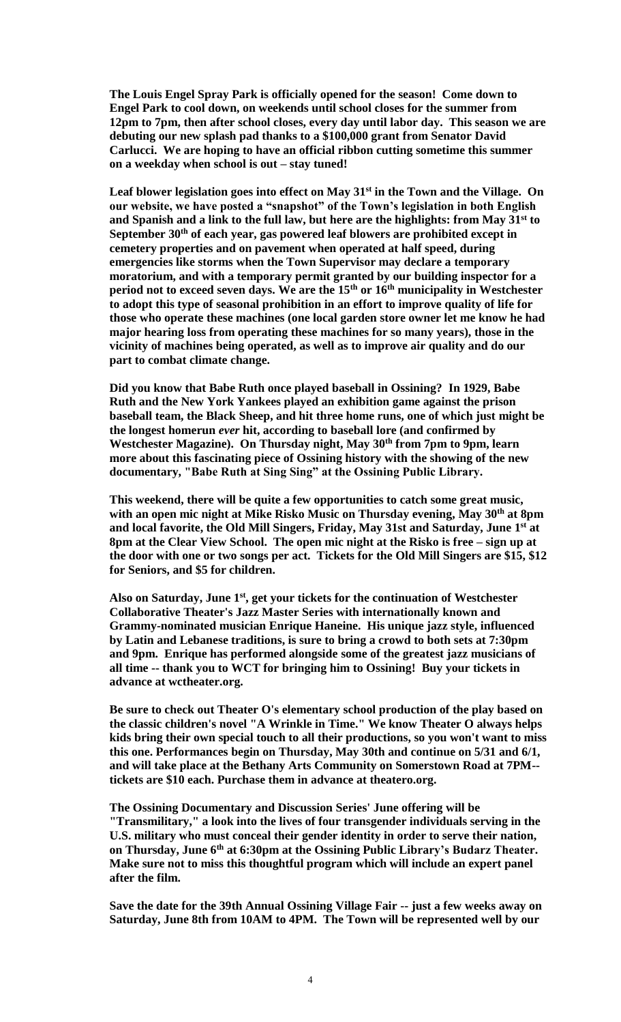**The Louis Engel Spray Park is officially opened for the season! Come down to Engel Park to cool down, on weekends until school closes for the summer from 12pm to 7pm, then after school closes, every day until labor day. This season we are debuting our new splash pad thanks to a \$100,000 grant from Senator David Carlucci. We are hoping to have an official ribbon cutting sometime this summer on a weekday when school is out – stay tuned!** 

**Leaf blower legislation goes into effect on May 31st in the Town and the Village. On our website, we have posted a "snapshot" of the Town's legislation in both English and Spanish and a link to the full law, but here are the highlights: from May 31st to September 30th of each year, gas powered leaf blowers are prohibited except in cemetery properties and on pavement when operated at half speed, during emergencies like storms when the Town Supervisor may declare a temporary moratorium, and with a temporary permit granted by our building inspector for a period not to exceed seven days. We are the 15th or 16th municipality in Westchester to adopt this type of seasonal prohibition in an effort to improve quality of life for those who operate these machines (one local garden store owner let me know he had major hearing loss from operating these machines for so many years), those in the vicinity of machines being operated, as well as to improve air quality and do our part to combat climate change.** 

**Did you know that Babe Ruth once played baseball in Ossining? In 1929, Babe Ruth and the New York Yankees played an exhibition game against the prison baseball team, the Black Sheep, and hit three home runs, one of which just might be the longest homerun** *ever* **hit, according to baseball lore (and confirmed by Westchester Magazine). On Thursday night, May 30th from 7pm to 9pm, learn more about this fascinating piece of Ossining history with the showing of the new documentary, "Babe Ruth at Sing Sing" at the Ossining Public Library.** 

**This weekend, there will be quite a few opportunities to catch some great music, with an open mic night at Mike Risko Music on Thursday evening, May 30th at 8pm and local favorite, the Old Mill Singers, Friday, May 31st and Saturday, June 1st at 8pm at the Clear View School. The open mic night at the Risko is free – sign up at the door with one or two songs per act. Tickets for the Old Mill Singers are \$15, \$12 for Seniors, and \$5 for children.** 

**Also on Saturday, June 1st, get your tickets for the continuation of Westchester Collaborative Theater's Jazz Master Series with internationally known and Grammy-nominated musician Enrique Haneine. His unique jazz style, influenced by Latin and Lebanese traditions, is sure to bring a crowd to both sets at 7:30pm and 9pm. Enrique has performed alongside some of the greatest jazz musicians of all time -- thank you to WCT for bringing him to Ossining! Buy your tickets in advance at wctheater.org.** 

**Be sure to check out Theater O's elementary school production of the play based on the classic children's novel "A Wrinkle in Time." We know Theater O always helps kids bring their own special touch to all their productions, so you won't want to miss this one. Performances begin on Thursday, May 30th and continue on 5/31 and 6/1, and will take place at the Bethany Arts Community on Somerstown Road at 7PM- tickets are \$10 each. Purchase them in advance at theatero.org.** 

**The Ossining Documentary and Discussion Series' June offering will be "Transmilitary," a look into the lives of four transgender individuals serving in the U.S. military who must conceal their gender identity in order to serve their nation, on Thursday, June 6th at 6:30pm at the Ossining Public Library's Budarz Theater. Make sure not to miss this thoughtful program which will include an expert panel after the film.**

**Save the date for the 39th Annual Ossining Village Fair -- just a few weeks away on Saturday, June 8th from 10AM to 4PM. The Town will be represented well by our**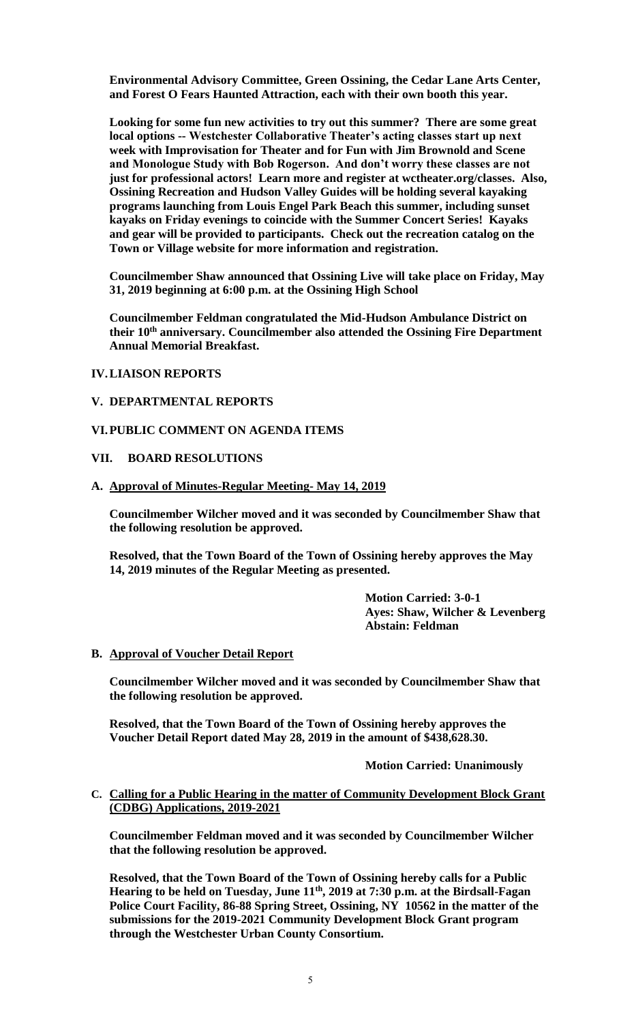**Environmental Advisory Committee, Green Ossining, the Cedar Lane Arts Center, and Forest O Fears Haunted Attraction, each with their own booth this year.**

**Looking for some fun new activities to try out this summer? There are some great local options -- Westchester Collaborative Theater's acting classes start up next week with Improvisation for Theater and for Fun with Jim Brownold and Scene and Monologue Study with Bob Rogerson. And don't worry these classes are not just for professional actors! Learn more and register at wctheater.org/classes. Also, Ossining Recreation and Hudson Valley Guides will be holding several kayaking programs launching from Louis Engel Park Beach this summer, including sunset kayaks on Friday evenings to coincide with the Summer Concert Series! Kayaks and gear will be provided to participants. Check out the recreation catalog on the Town or Village website for more information and registration.** 

**Councilmember Shaw announced that Ossining Live will take place on Friday, May 31, 2019 beginning at 6:00 p.m. at the Ossining High School** 

**Councilmember Feldman congratulated the Mid-Hudson Ambulance District on their 10th anniversary. Councilmember also attended the Ossining Fire Department Annual Memorial Breakfast.**

### **IV.LIAISON REPORTS**

### **V. DEPARTMENTAL REPORTS**

### **VI.PUBLIC COMMENT ON AGENDA ITEMS**

# **VII. BOARD RESOLUTIONS**

#### **A. Approval of Minutes-Regular Meeting- May 14, 2019**

**Councilmember Wilcher moved and it was seconded by Councilmember Shaw that the following resolution be approved.**

**Resolved, that the Town Board of the Town of Ossining hereby approves the May 14, 2019 minutes of the Regular Meeting as presented.**

> **Motion Carried: 3-0-1 Ayes: Shaw, Wilcher & Levenberg Abstain: Feldman**

#### **B. Approval of Voucher Detail Report**

**Councilmember Wilcher moved and it was seconded by Councilmember Shaw that the following resolution be approved.**

**Resolved, that the Town Board of the Town of Ossining hereby approves the Voucher Detail Report dated May 28, 2019 in the amount of \$438,628.30.**

**Motion Carried: Unanimously**

**C. Calling for a Public Hearing in the matter of Community Development Block Grant (CDBG) Applications, 2019-2021**

**Councilmember Feldman moved and it was seconded by Councilmember Wilcher that the following resolution be approved.**

**Resolved, that the Town Board of the Town of Ossining hereby calls for a Public Hearing to be held on Tuesday, June 11th, 2019 at 7:30 p.m. at the Birdsall-Fagan Police Court Facility, 86-88 Spring Street, Ossining, NY 10562 in the matter of the submissions for the 2019-2021 Community Development Block Grant program through the Westchester Urban County Consortium.**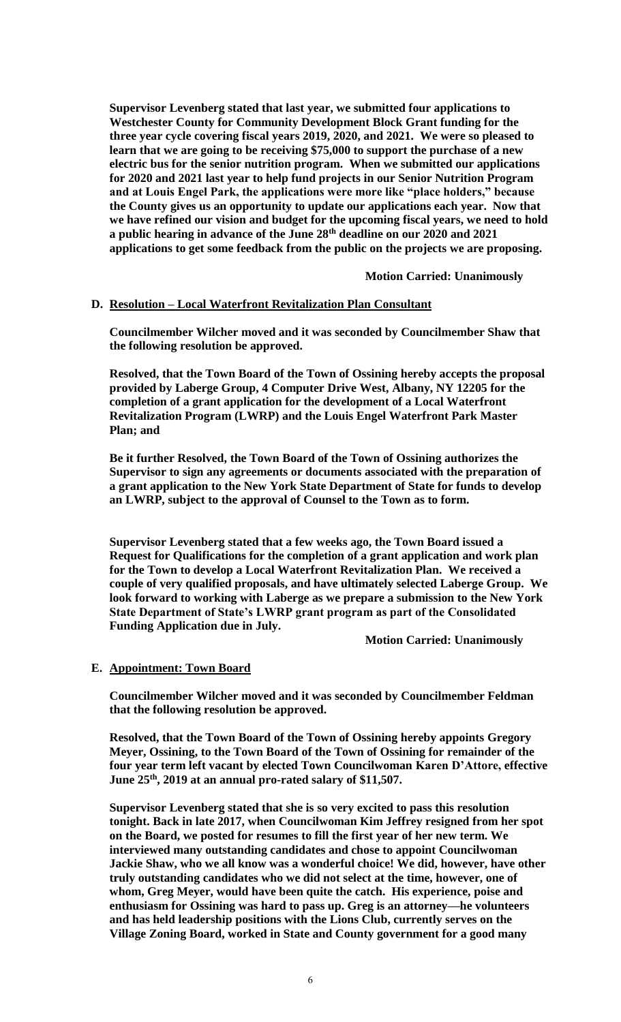**Supervisor Levenberg stated that last year, we submitted four applications to Westchester County for Community Development Block Grant funding for the three year cycle covering fiscal years 2019, 2020, and 2021. We were so pleased to learn that we are going to be receiving \$75,000 to support the purchase of a new electric bus for the senior nutrition program. When we submitted our applications for 2020 and 2021 last year to help fund projects in our Senior Nutrition Program and at Louis Engel Park, the applications were more like "place holders," because the County gives us an opportunity to update our applications each year. Now that we have refined our vision and budget for the upcoming fiscal years, we need to hold a public hearing in advance of the June 28th deadline on our 2020 and 2021 applications to get some feedback from the public on the projects we are proposing.** 

**Motion Carried: Unanimously**

# **D. Resolution – Local Waterfront Revitalization Plan Consultant**

**Councilmember Wilcher moved and it was seconded by Councilmember Shaw that the following resolution be approved.**

**Resolved, that the Town Board of the Town of Ossining hereby accepts the proposal provided by Laberge Group, 4 Computer Drive West, Albany, NY 12205 for the completion of a grant application for the development of a Local Waterfront Revitalization Program (LWRP) and the Louis Engel Waterfront Park Master Plan; and**

**Be it further Resolved, the Town Board of the Town of Ossining authorizes the Supervisor to sign any agreements or documents associated with the preparation of a grant application to the New York State Department of State for funds to develop an LWRP, subject to the approval of Counsel to the Town as to form.** 

**Supervisor Levenberg stated that a few weeks ago, the Town Board issued a Request for Qualifications for the completion of a grant application and work plan for the Town to develop a Local Waterfront Revitalization Plan. We received a couple of very qualified proposals, and have ultimately selected Laberge Group. We look forward to working with Laberge as we prepare a submission to the New York State Department of State's LWRP grant program as part of the Consolidated Funding Application due in July.** 

**Motion Carried: Unanimously**

#### **E. Appointment: Town Board**

**Councilmember Wilcher moved and it was seconded by Councilmember Feldman that the following resolution be approved.**

**Resolved, that the Town Board of the Town of Ossining hereby appoints Gregory Meyer, Ossining, to the Town Board of the Town of Ossining for remainder of the four year term left vacant by elected Town Councilwoman Karen D'Attore, effective June 25th, 2019 at an annual pro-rated salary of \$11,507.**

**Supervisor Levenberg stated that she is so very excited to pass this resolution tonight. Back in late 2017, when Councilwoman Kim Jeffrey resigned from her spot on the Board, we posted for resumes to fill the first year of her new term. We interviewed many outstanding candidates and chose to appoint Councilwoman Jackie Shaw, who we all know was a wonderful choice! We did, however, have other truly outstanding candidates who we did not select at the time, however, one of whom, Greg Meyer, would have been quite the catch. His experience, poise and enthusiasm for Ossining was hard to pass up. Greg is an attorney—he volunteers and has held leadership positions with the Lions Club, currently serves on the Village Zoning Board, worked in State and County government for a good many**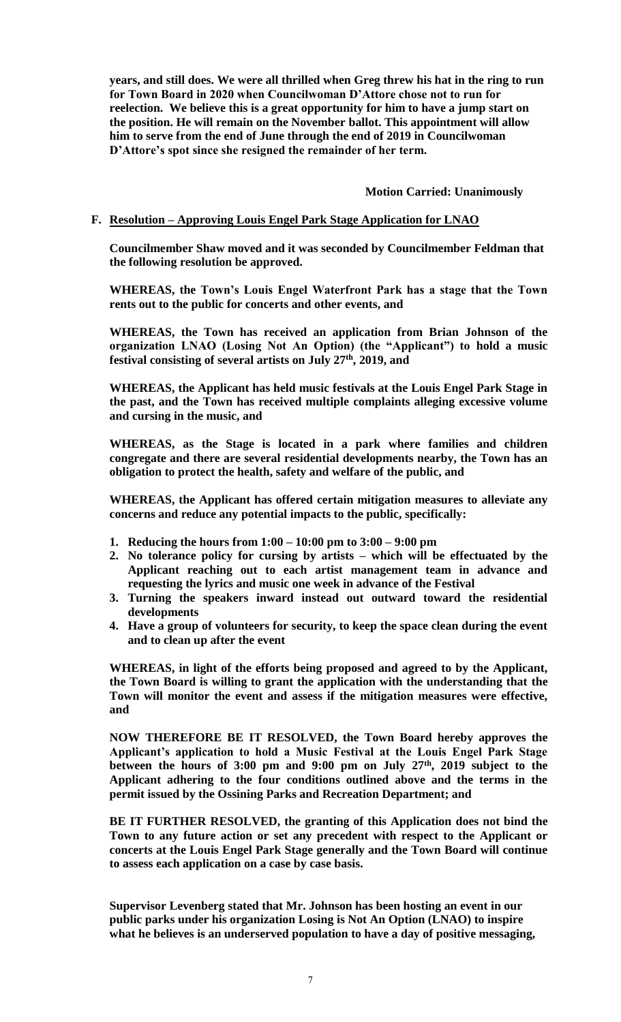**years, and still does. We were all thrilled when Greg threw his hat in the ring to run for Town Board in 2020 when Councilwoman D'Attore chose not to run for reelection. We believe this is a great opportunity for him to have a jump start on the position. He will remain on the November ballot. This appointment will allow him to serve from the end of June through the end of 2019 in Councilwoman D'Attore's spot since she resigned the remainder of her term.**

**Motion Carried: Unanimously**

# **F. Resolution – Approving Louis Engel Park Stage Application for LNAO**

**Councilmember Shaw moved and it was seconded by Councilmember Feldman that the following resolution be approved.**

**WHEREAS, the Town's Louis Engel Waterfront Park has a stage that the Town rents out to the public for concerts and other events, and**

**WHEREAS, the Town has received an application from Brian Johnson of the organization LNAO (Losing Not An Option) (the "Applicant") to hold a music festival consisting of several artists on July 27th, 2019, and**

**WHEREAS, the Applicant has held music festivals at the Louis Engel Park Stage in the past, and the Town has received multiple complaints alleging excessive volume and cursing in the music, and**

**WHEREAS, as the Stage is located in a park where families and children congregate and there are several residential developments nearby, the Town has an obligation to protect the health, safety and welfare of the public, and**

**WHEREAS, the Applicant has offered certain mitigation measures to alleviate any concerns and reduce any potential impacts to the public, specifically:**

- **1. Reducing the hours from 1:00 – 10:00 pm to 3:00 – 9:00 pm**
- **2. No tolerance policy for cursing by artists – which will be effectuated by the Applicant reaching out to each artist management team in advance and requesting the lyrics and music one week in advance of the Festival**
- **3. Turning the speakers inward instead out outward toward the residential developments**
- **4. Have a group of volunteers for security, to keep the space clean during the event and to clean up after the event**

**WHEREAS, in light of the efforts being proposed and agreed to by the Applicant, the Town Board is willing to grant the application with the understanding that the Town will monitor the event and assess if the mitigation measures were effective, and**

**NOW THEREFORE BE IT RESOLVED, the Town Board hereby approves the Applicant's application to hold a Music Festival at the Louis Engel Park Stage between the hours of 3:00 pm and 9:00 pm on July 27th, 2019 subject to the Applicant adhering to the four conditions outlined above and the terms in the permit issued by the Ossining Parks and Recreation Department; and**

**BE IT FURTHER RESOLVED, the granting of this Application does not bind the Town to any future action or set any precedent with respect to the Applicant or concerts at the Louis Engel Park Stage generally and the Town Board will continue to assess each application on a case by case basis.**

**Supervisor Levenberg stated that Mr. Johnson has been hosting an event in our public parks under his organization Losing is Not An Option (LNAO) to inspire what he believes is an underserved population to have a day of positive messaging,**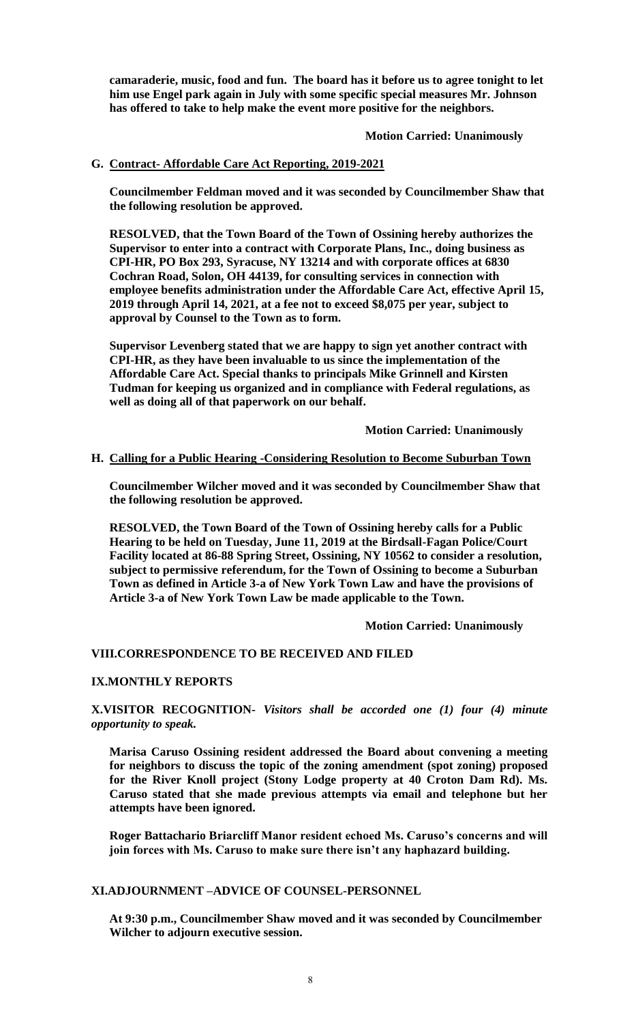**camaraderie, music, food and fun. The board has it before us to agree tonight to let him use Engel park again in July with some specific special measures Mr. Johnson has offered to take to help make the event more positive for the neighbors.** 

**Motion Carried: Unanimously**

# **G. Contract- Affordable Care Act Reporting, 2019-2021**

**Councilmember Feldman moved and it was seconded by Councilmember Shaw that the following resolution be approved.**

**RESOLVED, that the Town Board of the Town of Ossining hereby authorizes the Supervisor to enter into a contract with Corporate Plans, Inc., doing business as CPI-HR, PO Box 293, Syracuse, NY 13214 and with corporate offices at 6830 Cochran Road, Solon, OH 44139, for consulting services in connection with employee benefits administration under the Affordable Care Act, effective April 15, 2019 through April 14, 2021, at a fee not to exceed \$8,075 per year, subject to approval by Counsel to the Town as to form.**

**Supervisor Levenberg stated that we are happy to sign yet another contract with CPI-HR, as they have been invaluable to us since the implementation of the Affordable Care Act. Special thanks to principals Mike Grinnell and Kirsten Tudman for keeping us organized and in compliance with Federal regulations, as well as doing all of that paperwork on our behalf.**

**Motion Carried: Unanimously**

### **H. Calling for a Public Hearing -Considering Resolution to Become Suburban Town**

**Councilmember Wilcher moved and it was seconded by Councilmember Shaw that the following resolution be approved.**

**RESOLVED, the Town Board of the Town of Ossining hereby calls for a Public Hearing to be held on Tuesday, June 11, 2019 at the Birdsall-Fagan Police/Court Facility located at 86-88 Spring Street, Ossining, NY 10562 to consider a resolution, subject to permissive referendum, for the Town of Ossining to become a Suburban Town as defined in Article 3-a of New York Town Law and have the provisions of Article 3-a of New York Town Law be made applicable to the Town.**

**Motion Carried: Unanimously**

#### **VIII.CORRESPONDENCE TO BE RECEIVED AND FILED**

#### **IX.MONTHLY REPORTS**

**X.VISITOR RECOGNITION-** *Visitors shall be accorded one (1) four (4) minute opportunity to speak.*

**Marisa Caruso Ossining resident addressed the Board about convening a meeting for neighbors to discuss the topic of the zoning amendment (spot zoning) proposed for the River Knoll project (Stony Lodge property at 40 Croton Dam Rd). Ms. Caruso stated that she made previous attempts via email and telephone but her attempts have been ignored.** 

**Roger Battachario Briarcliff Manor resident echoed Ms. Caruso's concerns and will join forces with Ms. Caruso to make sure there isn't any haphazard building.** 

# **XI.ADJOURNMENT –ADVICE OF COUNSEL-PERSONNEL**

**At 9:30 p.m., Councilmember Shaw moved and it was seconded by Councilmember Wilcher to adjourn executive session.**